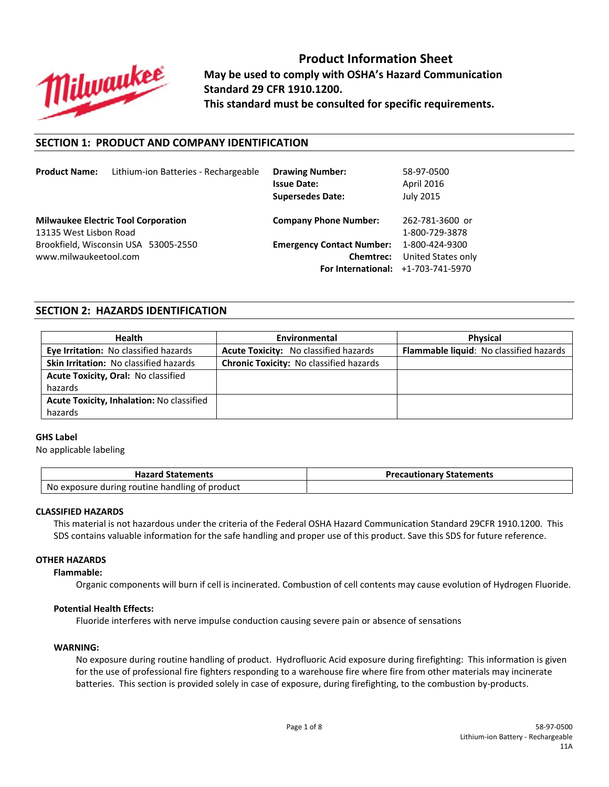

**Product Information Sheet May be used to comply with OSHA's Hazard Communication Standard 29 CFR 1910.1200. This standard must be consulted for specific requirements.**

## **SECTION 1: PRODUCT AND COMPANY IDENTIFICATION**

| <b>Product Name:</b>   | Lithium-ion Batteries - Rechargeable       | <b>Drawing Number:</b><br><b>Issue Date:</b><br><b>Supersedes Date:</b> | 58-97-0500<br>April 2016<br><b>July 2015</b> |
|------------------------|--------------------------------------------|-------------------------------------------------------------------------|----------------------------------------------|
| 13135 West Lisbon Road | <b>Milwaukee Electric Tool Corporation</b> | <b>Company Phone Number:</b>                                            | 262-781-3600 or<br>1-800-729-3878            |
|                        | Brookfield, Wisconsin USA 53005-2550       | <b>Emergency Contact Number:</b>                                        | 1-800-424-9300                               |
| www.milwaukeetool.com  |                                            | <b>Chemtrec:</b>                                                        | United States only                           |
|                        |                                            | For International: +1-703-741-5970                                      |                                              |

## **SECTION 2: HAZARDS IDENTIFICATION**

| <b>Health</b>                                 | Environmental                                  | <b>Physical</b>                         |
|-----------------------------------------------|------------------------------------------------|-----------------------------------------|
| Eye Irritation: No classified hazards         | Acute Toxicity: No classified hazards          | Flammable liquid: No classified hazards |
| <b>Skin Irritation: No classified hazards</b> | <b>Chronic Toxicity: No classified hazards</b> |                                         |
| Acute Toxicity, Oral: No classified           |                                                |                                         |
| hazards                                       |                                                |                                         |
| Acute Toxicity, Inhalation: No classified     |                                                |                                         |
| hazards                                       |                                                |                                         |

#### **GHS Label**

No applicable labeling

| <b>Hazard Statements</b>                       | <b>Precautionary Statements</b> |
|------------------------------------------------|---------------------------------|
| No exposure during routine handling of product |                                 |

#### **CLASSIFIED HAZARDS**

This material is not hazardous under the criteria of the Federal OSHA Hazard Communication Standard 29CFR 1910.1200. This SDS contains valuable information for the safe handling and proper use of this product. Save this SDS for future reference.

# **OTHER HAZARDS**

## **Flammable:**

Organic components will burn if cell is incinerated. Combustion of cell contents may cause evolution of Hydrogen Fluoride.

#### **Potential Health Effects:**

Fluoride interferes with nerve impulse conduction causing severe pain or absence of sensations

#### **WARNING:**

No exposure during routine handling of product. Hydrofluoric Acid exposure during firefighting: This information is given for the use of professional fire fighters responding to a warehouse fire where fire from other materials may incinerate batteries. This section is provided solely in case of exposure, during firefighting, to the combustion by-products.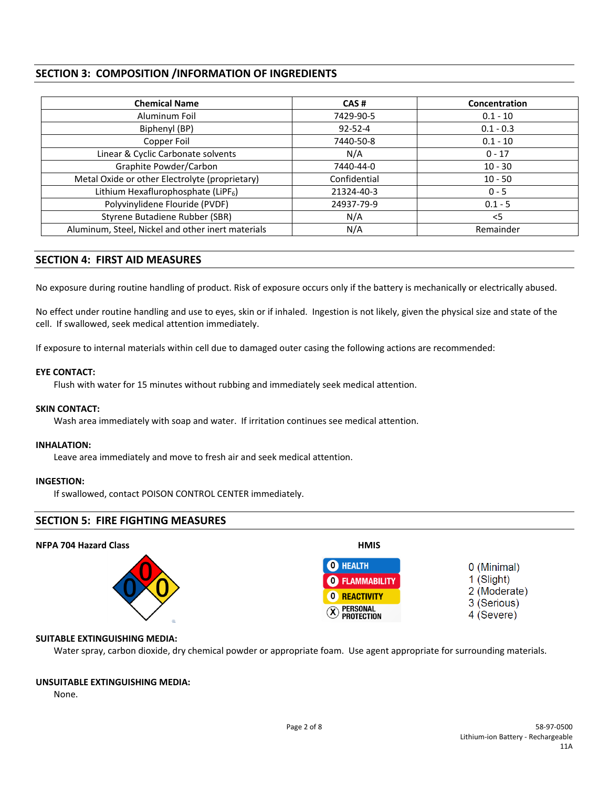# **SECTION 3: COMPOSITION /INFORMATION OF INGREDIENTS**

| <b>Chemical Name</b>                              | CAS#          | <b>Concentration</b> |
|---------------------------------------------------|---------------|----------------------|
| Aluminum Foil                                     | 7429-90-5     | $0.1 - 10$           |
| Biphenyl (BP)                                     | $92 - 52 - 4$ | $0.1 - 0.3$          |
| Copper Foil                                       | 7440-50-8     | $0.1 - 10$           |
| Linear & Cyclic Carbonate solvents                | N/A           | $0 - 17$             |
| Graphite Powder/Carbon                            | 7440-44-0     | $10 - 30$            |
| Metal Oxide or other Electrolyte (proprietary)    | Confidential  | $10 - 50$            |
| Lithium Hexaflurophosphate (LiPF <sub>6</sub> )   | 21324-40-3    | $0 - 5$              |
| Polyvinylidene Flouride (PVDF)                    | 24937-79-9    | $0.1 - 5$            |
| Styrene Butadiene Rubber (SBR)                    | N/A           | $<$ 5                |
| Aluminum, Steel, Nickel and other inert materials | N/A           | Remainder            |

# **SECTION 4: FIRST AID MEASURES**

No exposure during routine handling of product. Risk of exposure occurs only if the battery is mechanically or electrically abused.

No effect under routine handling and use to eyes, skin or if inhaled. Ingestion is not likely, given the physical size and state of the cell. If swallowed, seek medical attention immediately.

If exposure to internal materials within cell due to damaged outer casing the following actions are recommended:

#### **EYE CONTACT:**

Flush with water for 15 minutes without rubbing and immediately seek medical attention.

## **SKIN CONTACT:**

Wash area immediately with soap and water. If irritation continues see medical attention.

#### **INHALATION:**

Leave area immediately and move to fresh air and seek medical attention.

## **INGESTION:**

If swallowed, contact POISON CONTROL CENTER immediately.

## **SECTION 5: FIRE FIGHTING MEASURES**

#### **NFPA 704 Hazard Class HMIS O** HEALTH 0 (Minimal) 1 (Slight) **O** FLAMMABILITY 2 (Moderate) **0 REACTIVITY** 3 (Serious) 4 (Severe)  $\vee$   $\blacksquare$

## **SUITABLE EXTINGUISHING MEDIA:**

Water spray, carbon dioxide, dry chemical powder or appropriate foam. Use agent appropriate for surrounding materials.

#### **UNSUITABLE EXTINGUISHING MEDIA:**

None.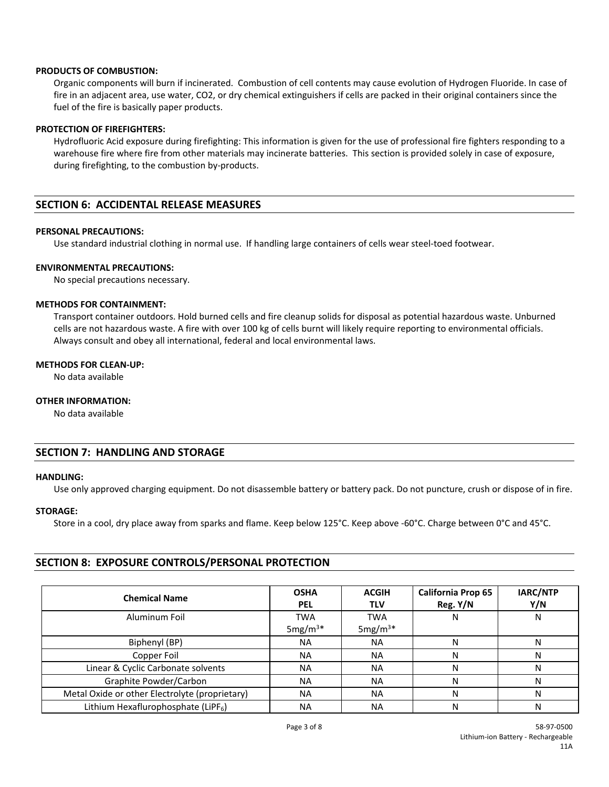#### **PRODUCTS OF COMBUSTION:**

Organic components will burn if incinerated. Combustion of cell contents may cause evolution of Hydrogen Fluoride. In case of fire in an adjacent area, use water, CO2, or dry chemical extinguishers if cells are packed in their original containers since the fuel of the fire is basically paper products.

#### **PROTECTION OF FIREFIGHTERS:**

Hydrofluoric Acid exposure during firefighting: This information is given for the use of professional fire fighters responding to a warehouse fire where fire from other materials may incinerate batteries. This section is provided solely in case of exposure, during firefighting, to the combustion by‐products.

## **SECTION 6: ACCIDENTAL RELEASE MEASURES**

#### **PERSONAL PRECAUTIONS:**

Use standard industrial clothing in normal use. If handling large containers of cells wear steel‐toed footwear.

#### **ENVIRONMENTAL PRECAUTIONS:**

No special precautions necessary.

#### **METHODS FOR CONTAINMENT:**

Transport container outdoors. Hold burned cells and fire cleanup solids for disposal as potential hazardous waste. Unburned cells are not hazardous waste. A fire with over 100 kg of cells burnt will likely require reporting to environmental officials. Always consult and obey all international, federal and local environmental laws.

#### **METHODS FOR CLEAN‐UP:**

No data available

## **OTHER INFORMATION:**

No data available

## **SECTION 7: HANDLING AND STORAGE**

#### **HANDLING:**

Use only approved charging equipment. Do not disassemble battery or battery pack. Do not puncture, crush or dispose of in fire.

## **STORAGE:**

Store in a cool, dry place away from sparks and flame. Keep below 125°C. Keep above ‐60°C. Charge between 0°C and 45°C.

## **SECTION 8: EXPOSURE CONTROLS/PERSONAL PROTECTION**

| <b>Chemical Name</b>                            | <b>OSHA</b><br><b>PEL</b> | <b>ACGIH</b><br><b>TLV</b> | <b>California Prop 65</b><br>Reg. Y/N | IARC/NTP<br>Y/N |
|-------------------------------------------------|---------------------------|----------------------------|---------------------------------------|-----------------|
| Aluminum Foil                                   | <b>TWA</b>                | <b>TWA</b>                 | N                                     | N               |
|                                                 | 5mg/ $m^{3*}$             | 5mg/ $m^{3*}$              |                                       |                 |
| Biphenyl (BP)                                   | <b>NA</b>                 | <b>NA</b>                  | N                                     |                 |
| Copper Foil                                     | <b>NA</b>                 | <b>NA</b>                  | N                                     |                 |
| Linear & Cyclic Carbonate solvents              | <b>NA</b>                 | <b>NA</b>                  | N                                     | N               |
| Graphite Powder/Carbon                          | <b>NA</b>                 | <b>NA</b>                  | N                                     |                 |
| Metal Oxide or other Electrolyte (proprietary)  | <b>NA</b>                 | <b>NA</b>                  | N                                     | N               |
| Lithium Hexaflurophosphate (LiPF <sub>6</sub> ) | NA                        | <b>NA</b>                  | N                                     | N               |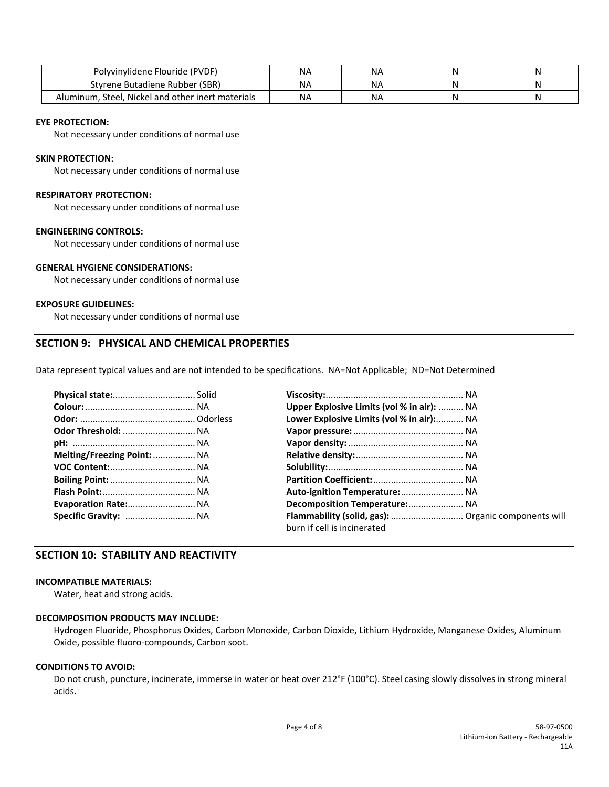| Polyvinylidene Flouride (PVDF)                    | NΑ        | NA |  |
|---------------------------------------------------|-----------|----|--|
| Styrene Butadiene Rubber (SBR)                    | <b>NA</b> | NA |  |
| Aluminum, Steel, Nickel and other inert materials | <b>NA</b> | NA |  |

#### **EYE PROTECTION:**

Not necessary under conditions of normal use

### **SKIN PROTECTION:**

Not necessary under conditions of normal use

#### **RESPIRATORY PROTECTION:**

Not necessary under conditions of normal use

## **ENGINEERING CONTROLS:**

Not necessary under conditions of normal use

## **GENERAL HYGIENE CONSIDERATIONS:**

Not necessary under conditions of normal use

#### **EXPOSURE GUIDELINES:**

Not necessary under conditions of normal use

## **SECTION 9: PHYSICAL AND CHEMICAL PROPERTIES**

Data represent typical values and are not intended to be specifications. NA=Not Applicable; ND=Not Determined

|                             | Upper Explosive Limits (vol % in air):  NA          |  |
|-----------------------------|-----------------------------------------------------|--|
|                             | Lower Explosive Limits (vol % in air): NA           |  |
| Odor Threshold:  NA         |                                                     |  |
|                             |                                                     |  |
| Melting/Freezing Point:  NA |                                                     |  |
|                             |                                                     |  |
|                             |                                                     |  |
|                             |                                                     |  |
| Evaporation Rate: NA        | Decomposition Temperature: NA                       |  |
| Specific Gravity:  NA       | Flammability (solid, gas):  Organic components will |  |
|                             | burn if cell is incinerated                         |  |

## **SECTION 10: STABILITY AND REACTIVITY**

#### **INCOMPATIBLE MATERIALS:**

Water, heat and strong acids.

## **DECOMPOSITION PRODUCTS MAY INCLUDE:**

Hydrogen Fluoride, Phosphorus Oxides, Carbon Monoxide, Carbon Dioxide, Lithium Hydroxide, Manganese Oxides, Aluminum Oxide, possible fluoro‐compounds, Carbon soot.

## **CONDITIONS TO AVOID:**

Do not crush, puncture, incinerate, immerse in water or heat over 212°F (100°C). Steel casing slowly dissolves in strong mineral acids.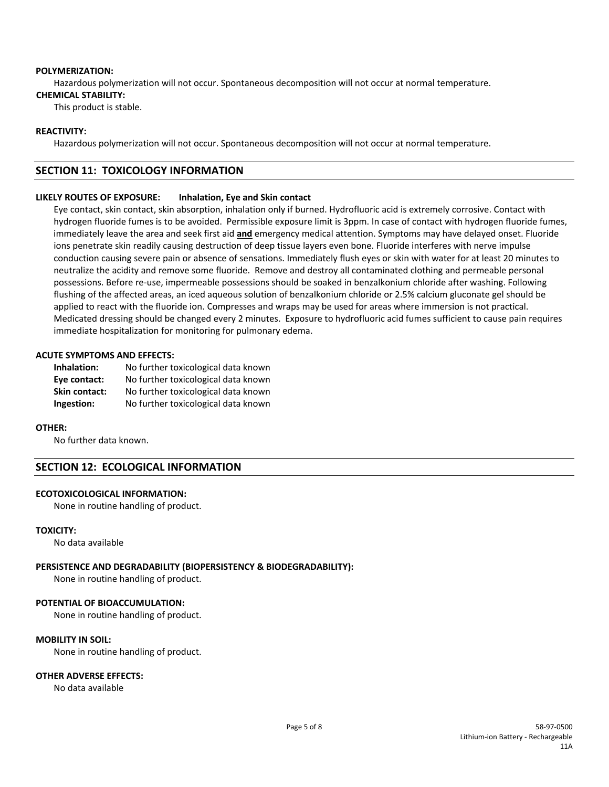#### **POLYMERIZATION:**

Hazardous polymerization will not occur. Spontaneous decomposition will not occur at normal temperature.

## **CHEMICAL STABILITY:**

This product is stable.

## **REACTIVITY:**

Hazardous polymerization will not occur. Spontaneous decomposition will not occur at normal temperature.

## **SECTION 11: TOXICOLOGY INFORMATION**

## **LIKELY ROUTES OF EXPOSURE: Inhalation, Eye and Skin contact**

Eye contact, skin contact, skin absorption, inhalation only if burned. Hydrofluoric acid is extremely corrosive. Contact with hydrogen fluoride fumes is to be avoided. Permissible exposure limit is 3ppm. In case of contact with hydrogen fluoride fumes, immediately leave the area and seek first aid **and** emergency medical attention. Symptoms may have delayed onset. Fluoride ions penetrate skin readily causing destruction of deep tissue layers even bone. Fluoride interferes with nerve impulse conduction causing severe pain or absence of sensations. Immediately flush eyes or skin with water for at least 20 minutes to neutralize the acidity and remove some fluoride. Remove and destroy all contaminated clothing and permeable personal possessions. Before re‐use, impermeable possessions should be soaked in benzalkonium chloride after washing. Following flushing of the affected areas, an iced aqueous solution of benzalkonium chloride or 2.5% calcium gluconate gel should be applied to react with the fluoride ion. Compresses and wraps may be used for areas where immersion is not practical. Medicated dressing should be changed every 2 minutes. Exposure to hydrofluoric acid fumes sufficient to cause pain requires immediate hospitalization for monitoring for pulmonary edema.

## **ACUTE SYMPTOMS AND EFFECTS:**

| Inhalation:   | No further toxicological data known |
|---------------|-------------------------------------|
| Eye contact:  | No further toxicological data known |
| Skin contact: | No further toxicological data known |
| Ingestion:    | No further toxicological data known |

#### **OTHER:**

No further data known.

## **SECTION 12: ECOLOGICAL INFORMATION**

## **ECOTOXICOLOGICAL INFORMATION:**

None in routine handling of product.

## **TOXICITY:**

No data available

## **PERSISTENCE AND DEGRADABILITY (BIOPERSISTENCY & BIODEGRADABILITY):**

None in routine handling of product.

## **POTENTIAL OF BIOACCUMULATION:**

None in routine handling of product.

## **MOBILITY IN SOIL:**

None in routine handling of product.

## **OTHER ADVERSE EFFECTS:**

No data available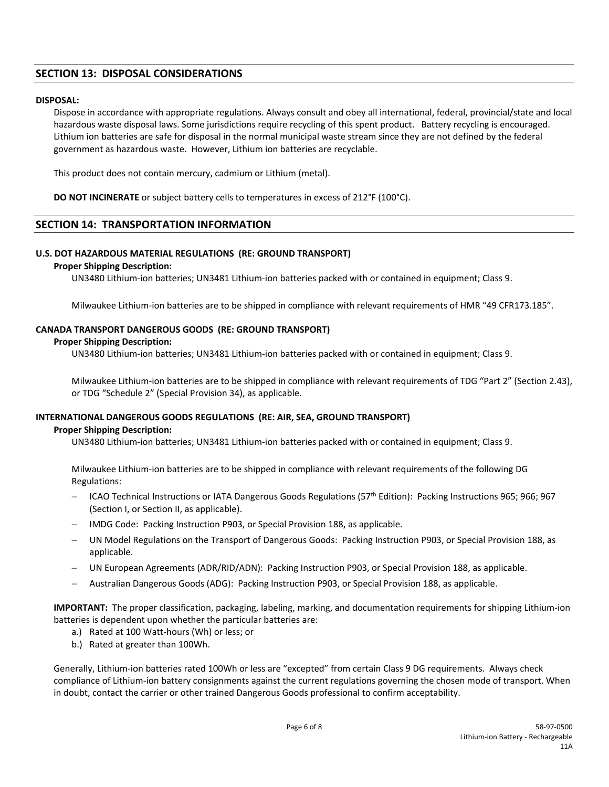# **SECTION 13: DISPOSAL CONSIDERATIONS**

## **DISPOSAL:**

Dispose in accordance with appropriate regulations. Always consult and obey all international, federal, provincial/state and local hazardous waste disposal laws. Some jurisdictions require recycling of this spent product. Battery recycling is encouraged. Lithium ion batteries are safe for disposal in the normal municipal waste stream since they are not defined by the federal government as hazardous waste. However, Lithium ion batteries are recyclable.

This product does not contain mercury, cadmium or Lithium (metal).

**DO NOT INCINERATE** or subject battery cells to temperatures in excess of 212°F (100°C).

## **SECTION 14: TRANSPORTATION INFORMATION**

#### **U.S. DOT HAZARDOUS MATERIAL REGULATIONS (RE: GROUND TRANSPORT)**

#### **Proper Shipping Description:**

 UN3480 Lithium‐ion batteries; UN3481 Lithium‐ion batteries packed with or contained in equipment; Class 9.

Milwaukee Lithium-ion batteries are to be shipped in compliance with relevant requirements of HMR "49 CFR173.185".

## **CANADA TRANSPORT DANGEROUS GOODS (RE: GROUND TRANSPORT)**

#### **Proper Shipping Description:**

UN3480 Lithium‐ion batteries; UN3481 Lithium‐ion batteries packed with or contained in equipment; Class 9.

 Milwaukee Lithium‐ion batteries are to be shipped in compliance with relevant requirements of TDG "Part 2" (Section 2.43), or TDG "Schedule 2" (Special Provision 34), as applicable.

#### **INTERNATIONAL DANGEROUS GOODS REGULATIONS (RE: AIR, SEA, GROUND TRANSPORT)**

#### **Proper Shipping Description:**

UN3480 Lithium‐ion batteries; UN3481 Lithium‐ion batteries packed with or contained in equipment; Class 9.

Milwaukee Lithium‐ion batteries are to be shipped in compliance with relevant requirements of the following DG Regulations:

- ICAO Technical Instructions or IATA Dangerous Goods Regulations (57<sup>th</sup> Edition): Packing Instructions 965; 966; 967 (Section I, or Section II, as applicable).
- IMDG Code: Packing Instruction P903, or Special Provision 188, as applicable.
- UN Model Regulations on the Transport of Dangerous Goods: Packing Instruction P903, or Special Provision 188, as applicable.
- UN European Agreements (ADR/RID/ADN): Packing Instruction P903, or Special Provision 188, as applicable.
- Australian Dangerous Goods (ADG): Packing Instruction P903, or Special Provision 188, as applicable.

**IMPORTANT:** The proper classification, packaging, labeling, marking, and documentation requirements for shipping Lithium-ion batteries is dependent upon whether the particular batteries are:

- a.) Rated at 100 Watt‐hours (Wh) or less; or
- b.) Rated at greater than 100Wh.

Generally, Lithium‐ion batteries rated 100Wh or less are "excepted" from certain Class 9 DG requirements. Always check compliance of Lithium‐ion battery consignments against the current regulations governing the chosen mode of transport. When in doubt, contact the carrier or other trained Dangerous Goods professional to confirm acceptability.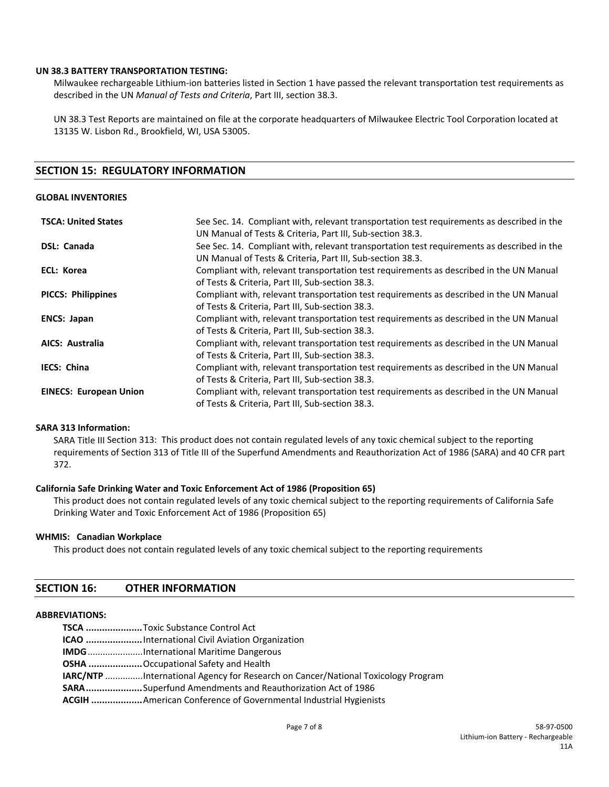### **UN 38.3 BATTERY TRANSPORTATION TESTING:**

Milwaukee rechargeable Lithium‐ion batteries listed in Section 1 have passed the relevant transportation test requirements as described in the UN *Manual of Tests and Criteria*, Part III, section 38.3.

UN 38.3 Test Reports are maintained on file at the corporate headquarters of Milwaukee Electric Tool Corporation located at 13135 W. Lisbon Rd., Brookfield, WI, USA 53005.

## **SECTION 15: REGULATORY INFORMATION**

#### **GLOBAL INVENTORIES**

| <b>TSCA: United States</b>    | See Sec. 14. Compliant with, relevant transportation test requirements as described in the |
|-------------------------------|--------------------------------------------------------------------------------------------|
|                               | UN Manual of Tests & Criteria, Part III, Sub-section 38.3.                                 |
| DSL: Canada                   | See Sec. 14. Compliant with, relevant transportation test requirements as described in the |
|                               | UN Manual of Tests & Criteria, Part III, Sub-section 38.3.                                 |
| ECL: Korea                    | Compliant with, relevant transportation test requirements as described in the UN Manual    |
|                               | of Tests & Criteria, Part III, Sub-section 38.3.                                           |
| <b>PICCS: Philippines</b>     | Compliant with, relevant transportation test requirements as described in the UN Manual    |
|                               | of Tests & Criteria, Part III, Sub-section 38.3.                                           |
| <b>ENCS: Japan</b>            | Compliant with, relevant transportation test requirements as described in the UN Manual    |
|                               | of Tests & Criteria, Part III, Sub-section 38.3.                                           |
| <b>AICS: Australia</b>        | Compliant with, relevant transportation test requirements as described in the UN Manual    |
|                               | of Tests & Criteria, Part III, Sub-section 38.3.                                           |
| <b>IECS: China</b>            | Compliant with, relevant transportation test requirements as described in the UN Manual    |
|                               | of Tests & Criteria, Part III, Sub-section 38.3.                                           |
| <b>EINECS: European Union</b> | Compliant with, relevant transportation test requirements as described in the UN Manual    |
|                               | of Tests & Criteria, Part III, Sub-section 38.3.                                           |

### **SARA 313 Information:**

SARA Title III Section 313: This product does not contain regulated levels of any toxic chemical subject to the reporting requirements of Section 313 of Title III of the Superfund Amendments and Reauthorization Act of 1986 (SARA) and 40 CFR part 372.

### **California Safe Drinking Water and Toxic Enforcement Act of 1986 (Proposition 65)**

This product does not contain regulated levels of any toxic chemical subject to the reporting requirements of California Safe Drinking Water and Toxic Enforcement Act of 1986 (Proposition 65)

#### **WHMIS: Canadian Workplace**

This product does not contain regulated levels of any toxic chemical subject to the reporting requirements

## **SECTION 16: OTHER INFORMATION**

#### **ABBREVIATIONS:**

| TSCA Toxic Substance Control Act                                                        |
|-----------------------------------------------------------------------------------------|
| <b>ICAO</b> International Civil Aviation Organization                                   |
| <b>IMDG</b> International Maritime Dangerous                                            |
| <b>OSHA</b> Occupational Safety and Health                                              |
| <b>IARC/NTP</b> International Agency for Research on Cancer/National Toxicology Program |
| <b>SARA</b> Superfund Amendments and Reauthorization Act of 1986                        |
| <b>ACGIH</b> American Conference of Governmental Industrial Hygienists                  |
|                                                                                         |